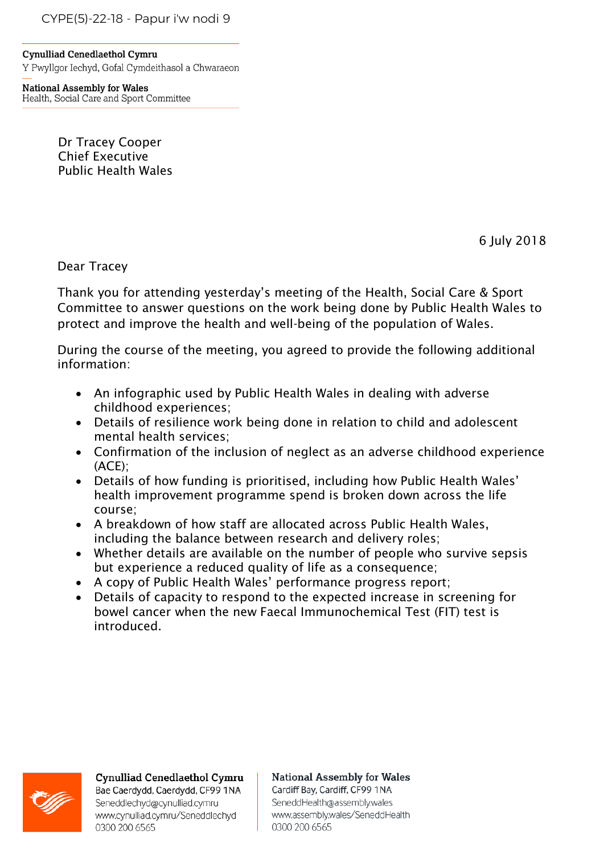CYPE(5)-22-18 - Papur i'w nodi 9

**Cynulliad Cenedlaethol Cymru** Y Pwyllgor Iechyd, Gofal Cymdeithasol a Chwaraeon

**National Assembly for Wales** Health, Social Care and Sport Committee

> Dr Tracey Cooper Chief Executive Public Health Wales

> > 6 July 2018

Dear Tracey

Thank you for attending yesterday's meeting of the Health, Social Care & Sport Committee to answer questions on the work being done by Public Health Wales to protect and improve the health and well-being of the population of Wales.

During the course of the meeting, you agreed to provide the following additional information:

- An infographic used by Public Health Wales in dealing with adverse childhood experiences;
- Details of resilience work being done in relation to child and adolescent mental health services;
- Confirmation of the inclusion of neglect as an adverse childhood experience (ACE);
- Details of how funding is prioritised, including how Public Health Wales' health improvement programme spend is broken down across the life course;
- A breakdown of how staff are allocated across Public Health Wales, including the balance between research and delivery roles;
- Whether details are available on the number of people who survive sepsis but experience a reduced quality of life as a consequence;
- A copy of Public Health Wales' performance progress report;
- Details of capacity to respond to the expected increase in screening for bowel cancer when the new Faecal Immunochemical Test (FIT) test is introduced.



## **Cynulliad Cenedlaethol Cymru**

Bae Caerdydd, Caerdydd, CF99 1NA Seneddlechyd@cynulliad.cymru www.cynulliad.cymru/Seneddlechyd 0300 200 6565

## **National Assembly for Wales** Cardiff Bay, Cardiff, CF99 1NA SeneddHealth@assembly.wales

www.assembly.wales/SeneddHealth 0300 200 6565